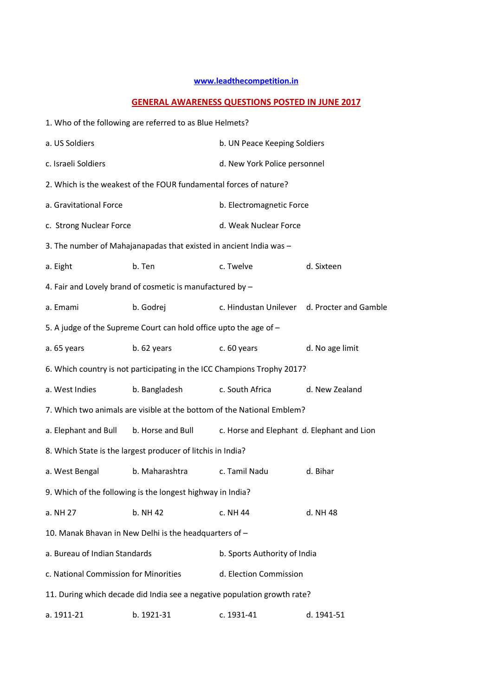## **www.leadthecompetition.in**

## **GENERAL AWARENESS QUESTIONS POSTED IN JUNE 2017**

|                                       | 1. Who of the following are referred to as Blue Helmets?                 |                                            |                                             |  |  |
|---------------------------------------|--------------------------------------------------------------------------|--------------------------------------------|---------------------------------------------|--|--|
| a. US Soldiers                        |                                                                          | b. UN Peace Keeping Soldiers               |                                             |  |  |
| c. Israeli Soldiers                   |                                                                          | d. New York Police personnel               |                                             |  |  |
|                                       | 2. Which is the weakest of the FOUR fundamental forces of nature?        |                                            |                                             |  |  |
| a. Gravitational Force                |                                                                          | b. Electromagnetic Force                   |                                             |  |  |
| c. Strong Nuclear Force               |                                                                          | d. Weak Nuclear Force                      |                                             |  |  |
|                                       | 3. The number of Mahajanapadas that existed in ancient India was -       |                                            |                                             |  |  |
| a. Eight                              | b. Ten                                                                   | c. Twelve                                  | d. Sixteen                                  |  |  |
|                                       | 4. Fair and Lovely brand of cosmetic is manufactured by -                |                                            |                                             |  |  |
| a. Emami                              | b. Godrej                                                                |                                            | c. Hindustan Unilever d. Procter and Gamble |  |  |
|                                       | 5. A judge of the Supreme Court can hold office upto the age of -        |                                            |                                             |  |  |
| a. 65 years                           | $b.62$ years                                                             | c. 60 years                                | d. No age limit                             |  |  |
|                                       | 6. Which country is not participating in the ICC Champions Trophy 2017?  |                                            |                                             |  |  |
| a. West Indies                        | b. Bangladesh                                                            | c. South Africa                            | d. New Zealand                              |  |  |
|                                       | 7. Which two animals are visible at the bottom of the National Emblem?   |                                            |                                             |  |  |
| a. Elephant and Bull                  | b. Horse and Bull                                                        | c. Horse and Elephant d. Elephant and Lion |                                             |  |  |
|                                       | 8. Which State is the largest producer of litchis in India?              |                                            |                                             |  |  |
| a. West Bengal                        | b. Maharashtra                                                           | c. Tamil Nadu                              | d. Bihar                                    |  |  |
|                                       | 9. Which of the following is the longest highway in India?               |                                            |                                             |  |  |
| a. NH 27                              | b. NH 42                                                                 | c. NH 44                                   | d. NH 48                                    |  |  |
|                                       | 10. Manak Bhavan in New Delhi is the headquarters of -                   |                                            |                                             |  |  |
| a. Bureau of Indian Standards         |                                                                          | b. Sports Authority of India               |                                             |  |  |
| c. National Commission for Minorities |                                                                          | d. Election Commission                     |                                             |  |  |
|                                       | 11. During which decade did India see a negative population growth rate? |                                            |                                             |  |  |
| a. 1911-21                            | b. 1921-31                                                               | c. 1931-41                                 | d. 1941-51                                  |  |  |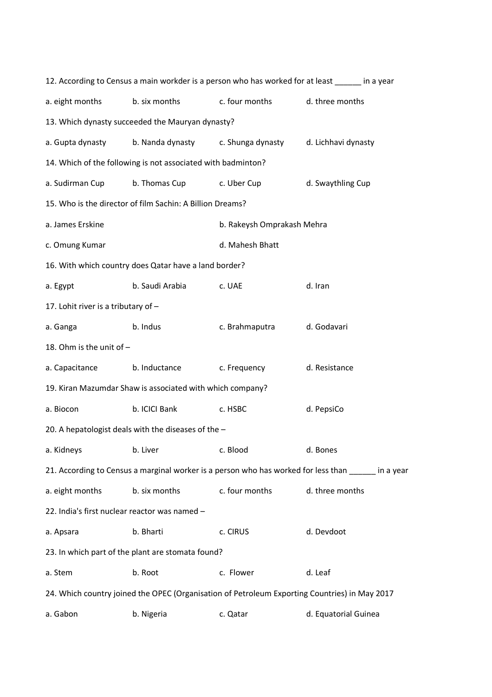|                                                |                                                              |                                    | 12. According to Census a main workder is a person who has worked for at least in a year            |  |  |  |  |
|------------------------------------------------|--------------------------------------------------------------|------------------------------------|-----------------------------------------------------------------------------------------------------|--|--|--|--|
| a. eight months                                | b. six months                                                | c. four months                     | d. three months                                                                                     |  |  |  |  |
|                                                | 13. Which dynasty succeeded the Mauryan dynasty?             |                                    |                                                                                                     |  |  |  |  |
| a. Gupta dynasty                               |                                                              | b. Nanda dynasty c. Shunga dynasty | d. Lichhavi dynasty                                                                                 |  |  |  |  |
|                                                | 14. Which of the following is not associated with badminton? |                                    |                                                                                                     |  |  |  |  |
| a. Sudirman Cup                                | b. Thomas Cup                                                | c. Uber Cup                        | d. Swaythling Cup                                                                                   |  |  |  |  |
|                                                | 15. Who is the director of film Sachin: A Billion Dreams?    |                                    |                                                                                                     |  |  |  |  |
| a. James Erskine<br>b. Rakeysh Omprakash Mehra |                                                              |                                    |                                                                                                     |  |  |  |  |
| d. Mahesh Bhatt<br>c. Omung Kumar              |                                                              |                                    |                                                                                                     |  |  |  |  |
|                                                | 16. With which country does Qatar have a land border?        |                                    |                                                                                                     |  |  |  |  |
| a. Egypt                                       | b. Saudi Arabia                                              | c. UAE                             | d. Iran                                                                                             |  |  |  |  |
| 17. Lohit river is a tributary of -            |                                                              |                                    |                                                                                                     |  |  |  |  |
| a. Ganga                                       | b. Indus                                                     | c. Brahmaputra                     | d. Godavari                                                                                         |  |  |  |  |
| 18. Ohm is the unit of -                       |                                                              |                                    |                                                                                                     |  |  |  |  |
| a. Capacitance                                 | b. Inductance                                                | c. Frequency                       | d. Resistance                                                                                       |  |  |  |  |
|                                                | 19. Kiran Mazumdar Shaw is associated with which company?    |                                    |                                                                                                     |  |  |  |  |
| a. Biocon                                      | b. ICICI Bank                                                | c. HSBC                            | d. PepsiCo                                                                                          |  |  |  |  |
|                                                | 20. A hepatologist deals with the diseases of the -          |                                    |                                                                                                     |  |  |  |  |
|                                                | a. Kidneys b. Liver                                          | c. Blood                           | d. Bones                                                                                            |  |  |  |  |
|                                                |                                                              |                                    | 21. According to Census a marginal worker is a person who has worked for less than sample in a year |  |  |  |  |
| a. eight months                                | b. six months                                                | c. four months                     | d. three months                                                                                     |  |  |  |  |
| 22. India's first nuclear reactor was named -  |                                                              |                                    |                                                                                                     |  |  |  |  |
| a. Apsara                                      | b. Bharti                                                    | c. CIRUS                           | d. Devdoot                                                                                          |  |  |  |  |
|                                                | 23. In which part of the plant are stomata found?            |                                    |                                                                                                     |  |  |  |  |
| a. Stem                                        | b. Root                                                      | c. Flower                          | d. Leaf                                                                                             |  |  |  |  |
|                                                |                                                              |                                    | 24. Which country joined the OPEC (Organisation of Petroleum Exporting Countries) in May 2017       |  |  |  |  |
| a. Gabon                                       | b. Nigeria                                                   | c. Qatar                           | d. Equatorial Guinea                                                                                |  |  |  |  |
|                                                |                                                              |                                    |                                                                                                     |  |  |  |  |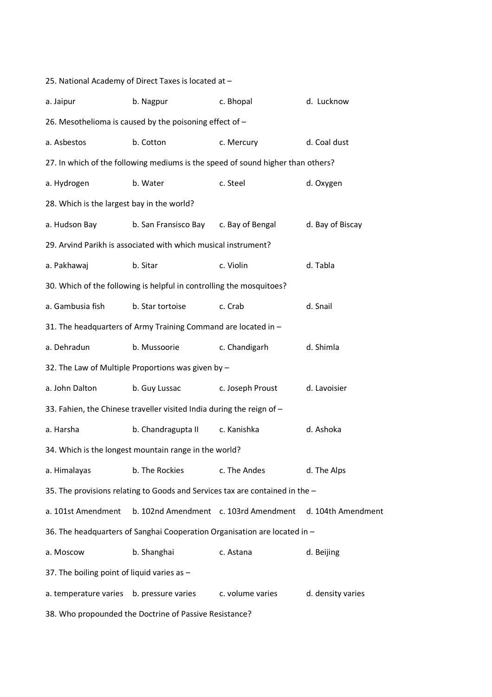| 25. National Academy of Direct Taxes is located at -   |                                                                                 |                  |                    |  |  |  |  |
|--------------------------------------------------------|---------------------------------------------------------------------------------|------------------|--------------------|--|--|--|--|
| a. Jaipur                                              | b. Nagpur                                                                       | c. Bhopal        | d. Lucknow         |  |  |  |  |
|                                                        | 26. Mesothelioma is caused by the poisoning effect of -                         |                  |                    |  |  |  |  |
| a. Asbestos                                            | b. Cotton                                                                       | c. Mercury       | d. Coal dust       |  |  |  |  |
|                                                        | 27. In which of the following mediums is the speed of sound higher than others? |                  |                    |  |  |  |  |
| a. Hydrogen                                            | b. Water                                                                        | c. Steel         | d. Oxygen          |  |  |  |  |
| 28. Which is the largest bay in the world?             |                                                                                 |                  |                    |  |  |  |  |
| a. Hudson Bay                                          | b. San Fransisco Bay c. Bay of Bengal                                           |                  | d. Bay of Biscay   |  |  |  |  |
|                                                        | 29. Arvind Parikh is associated with which musical instrument?                  |                  |                    |  |  |  |  |
| a. Pakhawaj                                            | b. Sitar                                                                        | c. Violin        | d. Tabla           |  |  |  |  |
|                                                        | 30. Which of the following is helpful in controlling the mosquitoes?            |                  |                    |  |  |  |  |
| a. Gambusia fish                                       | b. Star tortoise                                                                | c. Crab          | d. Snail           |  |  |  |  |
|                                                        | 31. The headquarters of Army Training Command are located in -                  |                  |                    |  |  |  |  |
| a. Dehradun                                            | b. Mussoorie                                                                    | c. Chandigarh    | d. Shimla          |  |  |  |  |
|                                                        | 32. The Law of Multiple Proportions was given by -                              |                  |                    |  |  |  |  |
| a. John Dalton                                         | b. Guy Lussac                                                                   | c. Joseph Proust | d. Lavoisier       |  |  |  |  |
|                                                        | 33. Fahien, the Chinese traveller visited India during the reign of -           |                  |                    |  |  |  |  |
| a. Harsha                                              | b. Chandragupta II                                                              | c. Kanishka      | d. Ashoka          |  |  |  |  |
|                                                        | 34. Which is the longest mountain range in the world?                           |                  |                    |  |  |  |  |
| a. Himalayas                                           | b. The Rockies                                                                  | c. The Andes     | d. The Alps        |  |  |  |  |
|                                                        | 35. The provisions relating to Goods and Services tax are contained in the -    |                  |                    |  |  |  |  |
| a. 101st Amendment                                     | b. 102nd Amendment c. 103rd Amendment                                           |                  | d. 104th Amendment |  |  |  |  |
|                                                        | 36. The headquarters of Sanghai Cooperation Organisation are located in -       |                  |                    |  |  |  |  |
| a. Moscow                                              | b. Shanghai                                                                     | c. Astana        | d. Beijing         |  |  |  |  |
| 37. The boiling point of liquid varies as -            |                                                                                 |                  |                    |  |  |  |  |
| a. temperature varies b. pressure varies               |                                                                                 | c. volume varies | d. density varies  |  |  |  |  |
| 38. Who propounded the Doctrine of Passive Resistance? |                                                                                 |                  |                    |  |  |  |  |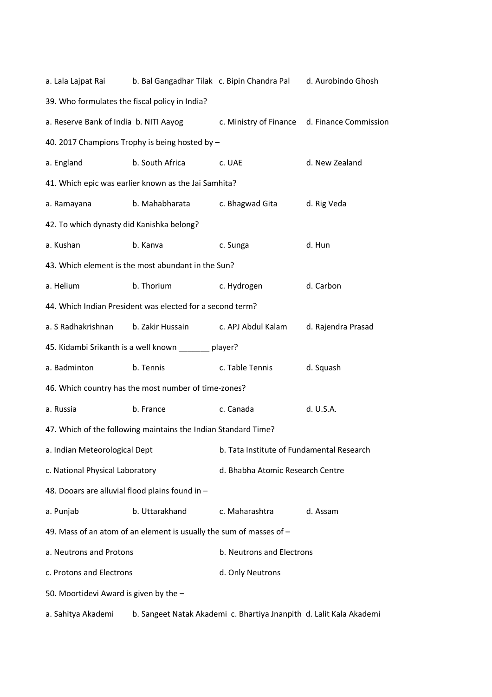| a. Lala Lajpat Rai                                        |                                                                     | b. Bal Gangadhar Tilak c. Bipin Chandra Pal                         | d. Aurobindo Ghosh                           |  |  |  |
|-----------------------------------------------------------|---------------------------------------------------------------------|---------------------------------------------------------------------|----------------------------------------------|--|--|--|
| 39. Who formulates the fiscal policy in India?            |                                                                     |                                                                     |                                              |  |  |  |
| a. Reserve Bank of India b. NITI Aayog                    |                                                                     |                                                                     | c. Ministry of Finance d. Finance Commission |  |  |  |
|                                                           | 40. 2017 Champions Trophy is being hosted by -                      |                                                                     |                                              |  |  |  |
| a. England                                                | b. South Africa                                                     | c. UAE                                                              | d. New Zealand                               |  |  |  |
|                                                           | 41. Which epic was earlier known as the Jai Samhita?                |                                                                     |                                              |  |  |  |
| a. Ramayana                                               | b. Mahabharata                                                      | c. Bhagwad Gita                                                     | d. Rig Veda                                  |  |  |  |
| 42. To which dynasty did Kanishka belong?                 |                                                                     |                                                                     |                                              |  |  |  |
| a. Kushan                                                 | b. Kanva                                                            | c. Sunga                                                            | d. Hun                                       |  |  |  |
| 43. Which element is the most abundant in the Sun?        |                                                                     |                                                                     |                                              |  |  |  |
| a. Helium                                                 | b. Thorium                                                          | d. Carbon<br>c. Hydrogen                                            |                                              |  |  |  |
| 44. Which Indian President was elected for a second term? |                                                                     |                                                                     |                                              |  |  |  |
| a. S Radhakrishnan                                        | b. Zakir Hussain                                                    | c. APJ Abdul Kalam                                                  | d. Rajendra Prasad                           |  |  |  |
| 45. Kidambi Srikanth is a well known ______ player?       |                                                                     |                                                                     |                                              |  |  |  |
| a. Badminton                                              | b. Tennis                                                           | c. Table Tennis                                                     | d. Squash                                    |  |  |  |
|                                                           | 46. Which country has the most number of time-zones?                |                                                                     |                                              |  |  |  |
| a. Russia                                                 | b. France                                                           | c. Canada                                                           | d. U.S.A.                                    |  |  |  |
|                                                           | 47. Which of the following maintains the Indian Standard Time?      |                                                                     |                                              |  |  |  |
| a. Indian Meteorological Dept                             |                                                                     | b. Tata Institute of Fundamental Research                           |                                              |  |  |  |
| c. National Physical Laboratory                           |                                                                     | d. Bhabha Atomic Research Centre                                    |                                              |  |  |  |
| 48. Dooars are alluvial flood plains found in -           |                                                                     |                                                                     |                                              |  |  |  |
| a. Punjab                                                 | b. Uttarakhand                                                      | c. Maharashtra                                                      | d. Assam                                     |  |  |  |
|                                                           | 49. Mass of an atom of an element is usually the sum of masses of - |                                                                     |                                              |  |  |  |
| a. Neutrons and Protons                                   |                                                                     | b. Neutrons and Electrons                                           |                                              |  |  |  |
| c. Protons and Electrons                                  |                                                                     | d. Only Neutrons                                                    |                                              |  |  |  |
| 50. Moortidevi Award is given by the -                    |                                                                     |                                                                     |                                              |  |  |  |
| a. Sahitya Akademi                                        |                                                                     | b. Sangeet Natak Akademi c. Bhartiya Jnanpith d. Lalit Kala Akademi |                                              |  |  |  |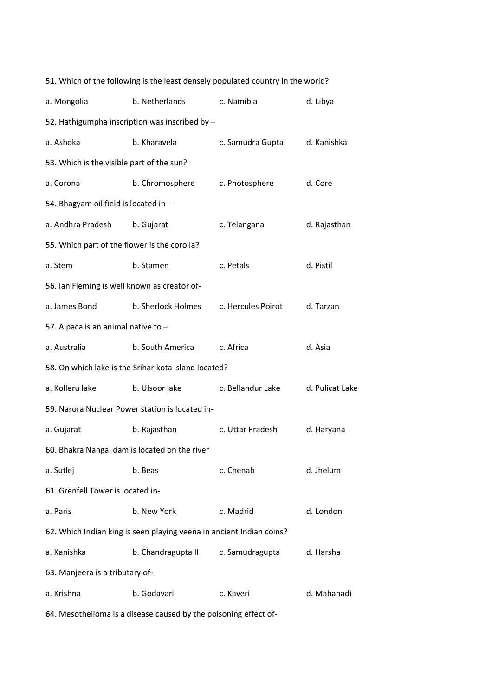| a. Mongolia                                   | b. Netherlands                                                       | c. Namibia         | d. Libya        |
|-----------------------------------------------|----------------------------------------------------------------------|--------------------|-----------------|
|                                               | 52. Hathigumpha inscription was inscribed by -                       |                    |                 |
| a. Ashoka                                     | b. Kharavela                                                         | c. Samudra Gupta   | d. Kanishka     |
| 53. Which is the visible part of the sun?     |                                                                      |                    |                 |
| a. Corona                                     | b. Chromosphere                                                      | c. Photosphere     | d. Core         |
| 54. Bhagyam oil field is located in -         |                                                                      |                    |                 |
| a. Andhra Pradesh                             | b. Gujarat                                                           | c. Telangana       | d. Rajasthan    |
| 55. Which part of the flower is the corolla?  |                                                                      |                    |                 |
| a. Stem                                       | b. Stamen                                                            | c. Petals          | d. Pistil       |
| 56. Ian Fleming is well known as creator of-  |                                                                      |                    |                 |
| a. James Bond                                 | b. Sherlock Holmes                                                   | c. Hercules Poirot | d. Tarzan       |
| 57. Alpaca is an animal native to -           |                                                                      |                    |                 |
| a. Australia                                  | b. South America                                                     | c. Africa          | d. Asia         |
|                                               | 58. On which lake is the Sriharikota island located?                 |                    |                 |
| a. Kolleru lake                               | b. Ulsoor lake                                                       | c. Bellandur Lake  | d. Pulicat Lake |
|                                               | 59. Narora Nuclear Power station is located in-                      |                    |                 |
| a. Gujarat                                    | b. Rajasthan                                                         | c. Uttar Pradesh   | d. Haryana      |
| 60. Bhakra Nangal dam is located on the river |                                                                      |                    |                 |
| a. Sutlej                                     | b. Beas                                                              | c. Chenab          | d. Jhelum       |
| 61. Grenfell Tower is located in-             |                                                                      |                    |                 |
| a. Paris                                      | b. New York                                                          | c. Madrid          | d. London       |
|                                               | 62. Which Indian king is seen playing veena in ancient Indian coins? |                    |                 |
| a. Kanishka                                   | b. Chandragupta II                                                   | c. Samudragupta    | d. Harsha       |
| 63. Manjeera is a tributary of-               |                                                                      |                    |                 |
| a. Krishna                                    | b. Godavari                                                          | c. Kaveri          | d. Mahanadi     |
|                                               | 64. Mesothelioma is a disease caused by the poisoning effect of-     |                    |                 |

51. Which of the following is the least densely populated country in the world?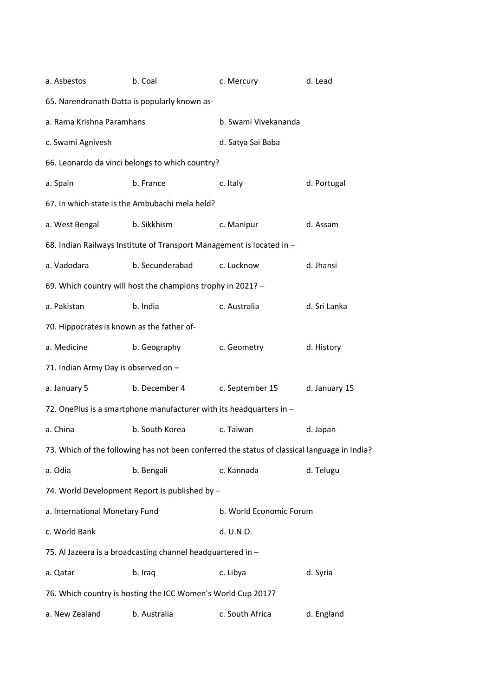| a. Asbestos                                                 | b. Coal                                                                                      | c. Mercury                   | d. Lead       |  |  |
|-------------------------------------------------------------|----------------------------------------------------------------------------------------------|------------------------------|---------------|--|--|
|                                                             | 65. Narendranath Datta is popularly known as-                                                |                              |               |  |  |
| a. Rama Krishna Paramhans                                   |                                                                                              | b. Swami Vivekananda         |               |  |  |
| c. Swami Agnivesh                                           |                                                                                              | d. Satya Sai Baba            |               |  |  |
|                                                             | 66. Leonardo da vinci belongs to which country?                                              |                              |               |  |  |
| a. Spain                                                    | b. France                                                                                    | c. Italy                     | d. Portugal   |  |  |
|                                                             | 67. In which state is the Ambubachi mela held?                                               |                              |               |  |  |
| a. West Bengal                                              | b. Sikkhism                                                                                  | c. Manipur                   | d. Assam      |  |  |
|                                                             | 68. Indian Railways Institute of Transport Management is located in -                        |                              |               |  |  |
| a. Vadodara                                                 | b. Secunderabad                                                                              | c. Lucknow                   | d. Jhansi     |  |  |
| 69. Which country will host the champions trophy in 2021? - |                                                                                              |                              |               |  |  |
| a. Pakistan                                                 | b. India                                                                                     | c. Australia<br>d. Sri Lanka |               |  |  |
| 70. Hippocrates is known as the father of-                  |                                                                                              |                              |               |  |  |
| a. Medicine                                                 | b. Geography                                                                                 | c. Geometry                  | d. History    |  |  |
| 71. Indian Army Day is observed on -                        |                                                                                              |                              |               |  |  |
| a. January 5                                                | b. December 4                                                                                | c. September 15              | d. January 15 |  |  |
|                                                             | 72. OnePlus is a smartphone manufacturer with its headquarters in -                          |                              |               |  |  |
| a. China                                                    | b. South Korea                                                                               | c. Taiwan                    | d. Japan      |  |  |
|                                                             | 73. Which of the following has not been conferred the status of classical language in India? |                              |               |  |  |
| a. Odia                                                     | b. Bengali                                                                                   | c. Kannada                   | d. Telugu     |  |  |
|                                                             | 74. World Development Report is published by -                                               |                              |               |  |  |
| a. International Monetary Fund                              |                                                                                              | b. World Economic Forum      |               |  |  |
| c. World Bank                                               |                                                                                              | d. U.N.O.                    |               |  |  |
|                                                             | 75. Al Jazeera is a broadcasting channel headquartered in -                                  |                              |               |  |  |
| a. Qatar                                                    | b. Iraq                                                                                      | c. Libya                     | d. Syria      |  |  |
|                                                             | 76. Which country is hosting the ICC Women's World Cup 2017?                                 |                              |               |  |  |
| a. New Zealand                                              | b. Australia                                                                                 | c. South Africa              | d. England    |  |  |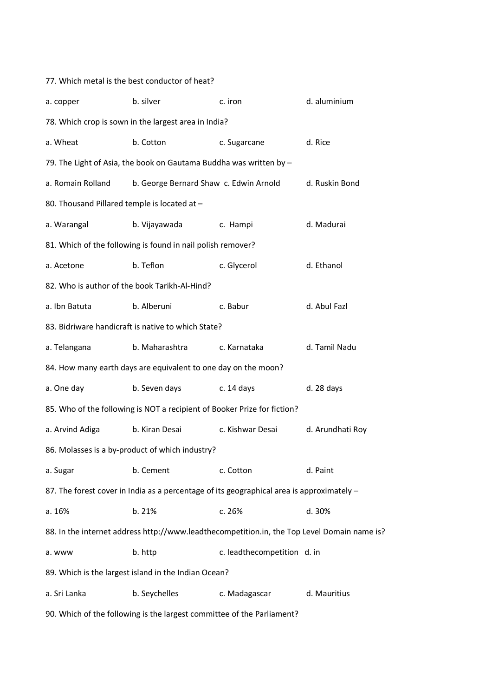| a. copper                                                              | b. silver                                                                                   | c. iron                     | d. aluminium     |  |  |
|------------------------------------------------------------------------|---------------------------------------------------------------------------------------------|-----------------------------|------------------|--|--|
|                                                                        | 78. Which crop is sown in the largest area in India?                                        |                             |                  |  |  |
| a. Wheat                                                               | b. Cotton                                                                                   | c. Sugarcane                | d. Rice          |  |  |
|                                                                        | 79. The Light of Asia, the book on Gautama Buddha was written by -                          |                             |                  |  |  |
| a. Romain Rolland                                                      | b. George Bernard Shaw c. Edwin Arnold                                                      |                             | d. Ruskin Bond   |  |  |
| 80. Thousand Pillared temple is located at -                           |                                                                                             |                             |                  |  |  |
| a. Warangal                                                            | b. Vijayawada                                                                               | c. Hampi                    | d. Madurai       |  |  |
|                                                                        | 81. Which of the following is found in nail polish remover?                                 |                             |                  |  |  |
| a. Acetone                                                             | b. Teflon                                                                                   | c. Glycerol                 | d. Ethanol       |  |  |
|                                                                        | 82. Who is author of the book Tarikh-Al-Hind?                                               |                             |                  |  |  |
| a. Ibn Batuta                                                          | b. Alberuni                                                                                 | c. Babur                    | d. Abul Fazl     |  |  |
|                                                                        | 83. Bidriware handicraft is native to which State?                                          |                             |                  |  |  |
| a. Telangana                                                           | b. Maharashtra                                                                              | c. Karnataka                | d. Tamil Nadu    |  |  |
|                                                                        | 84. How many earth days are equivalent to one day on the moon?                              |                             |                  |  |  |
| a. One day                                                             | b. Seven days                                                                               | c. 14 days                  | d. 28 days       |  |  |
|                                                                        | 85. Who of the following is NOT a recipient of Booker Prize for fiction?                    |                             |                  |  |  |
| a. Arvind Adiga                                                        | b. Kiran Desai                                                                              | c. Kishwar Desai            | d. Arundhati Roy |  |  |
|                                                                        | 86. Molasses is a by-product of which industry?                                             |                             |                  |  |  |
| a. Sugar                                                               | b. Cement                                                                                   | c. Cotton                   | d. Paint         |  |  |
|                                                                        | 87. The forest cover in India as a percentage of its geographical area is approximately -   |                             |                  |  |  |
| a. 16%                                                                 | b. 21%                                                                                      | c. 26%                      | d. 30%           |  |  |
|                                                                        | 88. In the internet address http://www.leadthecompetition.in, the Top Level Domain name is? |                             |                  |  |  |
| a. www                                                                 | b. http                                                                                     | c. leadthecompetition d. in |                  |  |  |
|                                                                        | 89. Which is the largest island in the Indian Ocean?                                        |                             |                  |  |  |
| a. Sri Lanka                                                           | b. Seychelles                                                                               | c. Madagascar               | d. Mauritius     |  |  |
| 90. Which of the following is the largest committee of the Parliament? |                                                                                             |                             |                  |  |  |

77. Which metal is the best conductor of heat?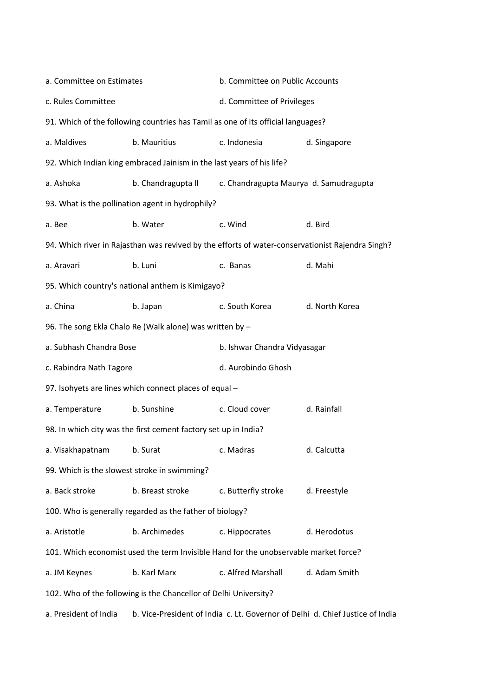| a. Committee on Estimates                                |                                                                                      | b. Committee on Public Accounts                                                  |                                                                                                  |  |  |
|----------------------------------------------------------|--------------------------------------------------------------------------------------|----------------------------------------------------------------------------------|--------------------------------------------------------------------------------------------------|--|--|
| c. Rules Committee                                       |                                                                                      | d. Committee of Privileges                                                       |                                                                                                  |  |  |
|                                                          |                                                                                      | 91. Which of the following countries has Tamil as one of its official languages? |                                                                                                  |  |  |
| a. Maldives                                              | b. Mauritius                                                                         | c. Indonesia                                                                     | d. Singapore                                                                                     |  |  |
|                                                          | 92. Which Indian king embraced Jainism in the last years of his life?                |                                                                                  |                                                                                                  |  |  |
| a. Ashoka                                                | b. Chandragupta II                                                                   | c. Chandragupta Maurya d. Samudragupta                                           |                                                                                                  |  |  |
|                                                          | 93. What is the pollination agent in hydrophily?                                     |                                                                                  |                                                                                                  |  |  |
| a. Bee                                                   | b. Water                                                                             | c. Wind                                                                          | d. Bird                                                                                          |  |  |
|                                                          |                                                                                      |                                                                                  | 94. Which river in Rajasthan was revived by the efforts of water-conservationist Rajendra Singh? |  |  |
| a. Aravari                                               | b. Luni                                                                              | c. Banas                                                                         | d. Mahi                                                                                          |  |  |
|                                                          | 95. Which country's national anthem is Kimigayo?                                     |                                                                                  |                                                                                                  |  |  |
| a. China                                                 | b. Japan                                                                             | c. South Korea                                                                   | d. North Korea                                                                                   |  |  |
| 96. The song Ekla Chalo Re (Walk alone) was written by - |                                                                                      |                                                                                  |                                                                                                  |  |  |
| a. Subhash Chandra Bose                                  |                                                                                      | b. Ishwar Chandra Vidyasagar                                                     |                                                                                                  |  |  |
| c. Rabindra Nath Tagore                                  |                                                                                      | d. Aurobindo Ghosh                                                               |                                                                                                  |  |  |
|                                                          | 97. Isohyets are lines which connect places of equal -                               |                                                                                  |                                                                                                  |  |  |
| a. Temperature                                           | b. Sunshine                                                                          | c. Cloud cover                                                                   | d. Rainfall                                                                                      |  |  |
|                                                          | 98. In which city was the first cement factory set up in India?                      |                                                                                  |                                                                                                  |  |  |
| a. Visakhapatnam                                         | b. Surat                                                                             | c. Madras                                                                        | d. Calcutta                                                                                      |  |  |
| 99. Which is the slowest stroke in swimming?             |                                                                                      |                                                                                  |                                                                                                  |  |  |
| a. Back stroke                                           | b. Breast stroke                                                                     | c. Butterfly stroke                                                              | d. Freestyle                                                                                     |  |  |
|                                                          | 100. Who is generally regarded as the father of biology?                             |                                                                                  |                                                                                                  |  |  |
| a. Aristotle                                             | b. Archimedes                                                                        | c. Hippocrates                                                                   | d. Herodotus                                                                                     |  |  |
|                                                          | 101. Which economist used the term Invisible Hand for the unobservable market force? |                                                                                  |                                                                                                  |  |  |
| a. JM Keynes                                             | b. Karl Marx                                                                         | c. Alfred Marshall                                                               | d. Adam Smith                                                                                    |  |  |
|                                                          | 102. Who of the following is the Chancellor of Delhi University?                     |                                                                                  |                                                                                                  |  |  |
|                                                          |                                                                                      |                                                                                  |                                                                                                  |  |  |

a. President of India b. Vice-President of India c. Lt. Governor of Delhi d. Chief Justice of India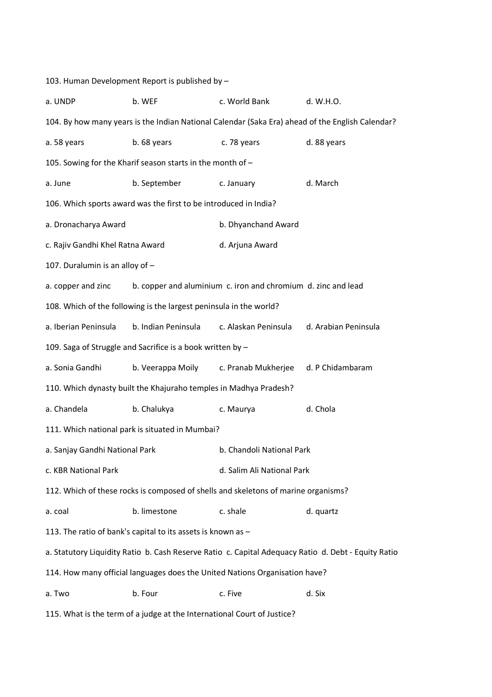103. Human Development Report is published by – a. UNDP b. WEF c. World Bank d. W.H.O. 104. By how many years is the Indian National Calendar (Saka Era) ahead of the English Calendar? a. 58 years b. 68 years c. 78 years d. 88 years 105. Sowing for the Kharif season starts in the month of – a. June b. September c. January d. March 106. Which sports award was the first to be introduced in India? a. Dronacharya Award b. Dhyanchand Award c. Rajiv Gandhi Khel Ratna Award d. Arjuna Award 107. Duralumin is an alloy of – a. copper and zinc b. copper and aluminium c. iron and chromium d. zinc and lead 108. Which of the following is the largest peninsula in the world? a. Iberian Peninsula b. Indian Peninsula c. Alaskan Peninsula d. Arabian Peninsula 109. Saga of Struggle and Sacrifice is a book written by – a. Sonia Gandhi b. Veerappa Moily c. Pranab Mukherjee d. P Chidambaram 110. Which dynasty built the Khajuraho temples in Madhya Pradesh? a. Chandela b. Chalukya c. Maurya d. Chola 111. Which national park is situated in Mumbai? a. Sanjay Gandhi National Park b. Chandoli National Park c. KBR National Park d. Salim Ali National Park 112. Which of these rocks is composed of shells and skeletons of marine organisms? a. coal b. limestone c. shale d. quartz 113. The ratio of bank's capital to its assets is known as – a. Statutory Liquidity Ratio b. Cash Reserve Ratio c. Capital Adequacy Ratio d. Debt - Equity Ratio 114. How many official languages does the United Nations Organisation have? a. Two d. Six b. Four c. Five the c. Five d. Six 115. What is the term of a judge at the International Court of Justice?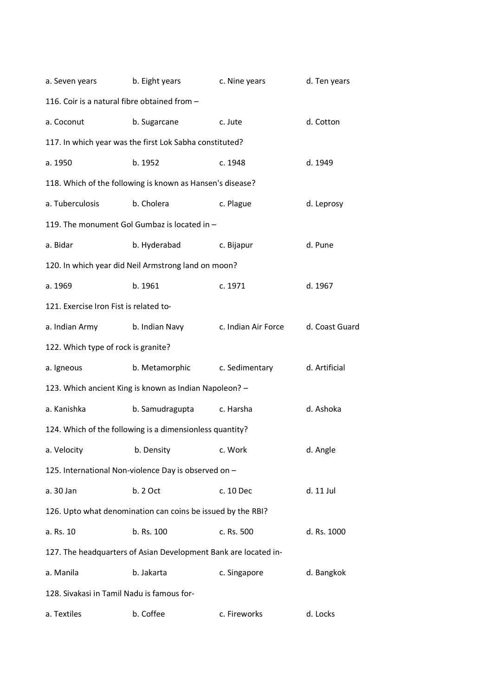| a. Seven years                               | b. Eight years                                                  | c. Nine years       | d. Ten years   |
|----------------------------------------------|-----------------------------------------------------------------|---------------------|----------------|
| 116. Coir is a natural fibre obtained from - |                                                                 |                     |                |
| a. Coconut                                   | b. Sugarcane                                                    | c. Jute             | d. Cotton      |
|                                              | 117. In which year was the first Lok Sabha constituted?         |                     |                |
| a. 1950                                      | b. 1952                                                         | c. 1948             | d. 1949        |
|                                              | 118. Which of the following is known as Hansen's disease?       |                     |                |
| a. Tuberculosis                              | b. Cholera                                                      | c. Plague           | d. Leprosy     |
|                                              | 119. The monument Gol Gumbaz is located in -                    |                     |                |
| a. Bidar                                     | b. Hyderabad                                                    | c. Bijapur          | d. Pune        |
|                                              | 120. In which year did Neil Armstrong land on moon?             |                     |                |
| a. 1969                                      | b. 1961                                                         | c. 1971             | d. 1967        |
| 121. Exercise Iron Fist is related to-       |                                                                 |                     |                |
| a. Indian Army                               | b. Indian Navy                                                  | c. Indian Air Force | d. Coast Guard |
| 122. Which type of rock is granite?          |                                                                 |                     |                |
| a. Igneous                                   | b. Metamorphic                                                  | c. Sedimentary      | d. Artificial  |
|                                              | 123. Which ancient King is known as Indian Napoleon? -          |                     |                |
| a. Kanishka                                  | b. Samudragupta                                                 | c. Harsha           | d. Ashoka      |
|                                              | 124. Which of the following is a dimensionless quantity?        |                     |                |
| a. Velocity                                  | b. Density                                                      | c. Work             | d. Angle       |
|                                              | 125. International Non-violence Day is observed on -            |                     |                |
| a. 30 Jan                                    | b. 2 Oct                                                        | c. 10 Dec           | d. 11 Jul      |
|                                              | 126. Upto what denomination can coins be issued by the RBI?     |                     |                |
| a. Rs. 10                                    | b. Rs. 100                                                      | c. Rs. 500          | d. Rs. 1000    |
|                                              | 127. The headquarters of Asian Development Bank are located in- |                     |                |
| a. Manila                                    | b. Jakarta                                                      | c. Singapore        | d. Bangkok     |
| 128. Sivakasi in Tamil Nadu is famous for-   |                                                                 |                     |                |
| a. Textiles                                  | b. Coffee                                                       | c. Fireworks        | d. Locks       |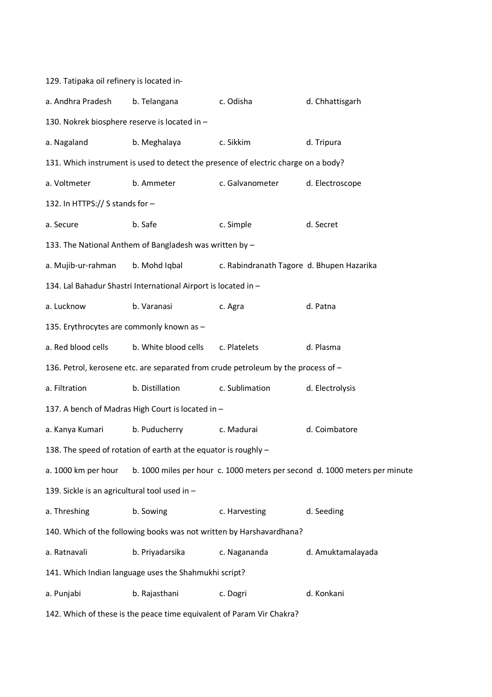129. Tatipaka oil refinery is located ina. Andhra Pradesh b. Telangana c. Odisha d. Chhattisgarh 130. Nokrek biosphere reserve is located in – a. Nagaland b. Meghalaya c. Sikkim d. Tripura 131. Which instrument is used to detect the presence of electric charge on a body? a. Voltmeter b. Ammeter c. Galvanometer d. Electroscope 132. In HTTPS:// S stands for – a. Secure b. Safe c. Simple d. Secret 133. The National Anthem of Bangladesh was written by – a. Mujib-ur-rahman b. Mohd Iqbal c. Rabindranath Tagore d. Bhupen Hazarika 134. Lal Bahadur Shastri International Airport is located in – a. Lucknow b. Varanasi c. Agra d. Patna 135. Erythrocytes are commonly known as – a. Red blood cells b. White blood cells c. Platelets d. Plasma 136. Petrol, kerosene etc. are separated from crude petroleum by the process of – a. Filtration b. Distillation c. Sublimation d. Electrolysis 137. A bench of Madras High Court is located in – a. Kanya Kumari b. Puducherry c. Madurai d. Coimbatore 138. The speed of rotation of earth at the equator is roughly – a. 1000 km per hour b. 1000 miles per hour c. 1000 meters per second d. 1000 meters per minute 139. Sickle is an agricultural tool used in – a. Threshing b. Sowing c. Harvesting d. Seeding 140. Which of the following books was not written by Harshavardhana? a. Ratnavali b. Priyadarsika c. Nagananda d. Amuktamalayada 141. Which Indian language uses the Shahmukhi script? a. Punjabi b. Rajasthani c. Dogri d. Konkani 142. Which of these is the peace time equivalent of Param Vir Chakra?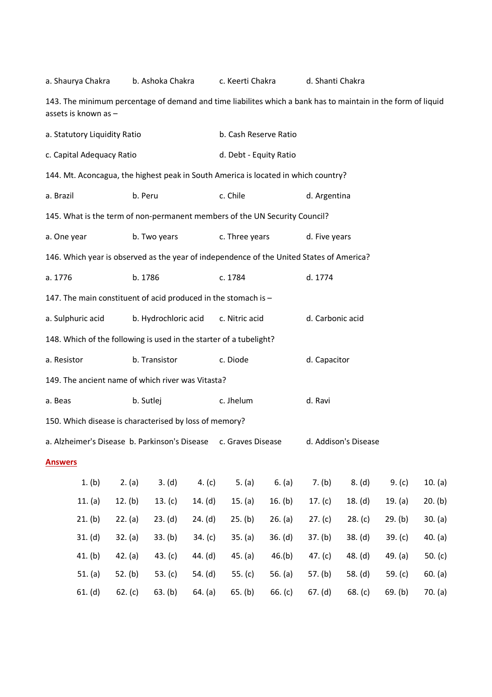| 143. The minimum percentage of demand and time liabilites which a bank has to maintain in the form of liquid<br>assets is known as - |               |              |                |                        |                  |                      |         |           |           |
|--------------------------------------------------------------------------------------------------------------------------------------|---------------|--------------|----------------|------------------------|------------------|----------------------|---------|-----------|-----------|
| a. Statutory Liquidity Ratio                                                                                                         |               |              |                | b. Cash Reserve Ratio  |                  |                      |         |           |           |
| c. Capital Adequacy Ratio                                                                                                            |               |              |                | d. Debt - Equity Ratio |                  |                      |         |           |           |
| 144. Mt. Aconcagua, the highest peak in South America is located in which country?                                                   |               |              |                |                        |                  |                      |         |           |           |
| a. Brazil                                                                                                                            | b. Peru       |              |                | c. Chile               |                  | d. Argentina         |         |           |           |
| 145. What is the term of non-permanent members of the UN Security Council?                                                           |               |              |                |                        |                  |                      |         |           |           |
| a. One year                                                                                                                          |               | b. Two years |                | c. Three years         |                  | d. Five years        |         |           |           |
| 146. Which year is observed as the year of independence of the United States of America?                                             |               |              |                |                        |                  |                      |         |           |           |
| a. 1776                                                                                                                              |               | b. 1786      |                | c. 1784                |                  | d. 1774              |         |           |           |
| 147. The main constituent of acid produced in the stomach is -                                                                       |               |              |                |                        |                  |                      |         |           |           |
| b. Hydrochloric acid<br>a. Sulphuric acid                                                                                            |               |              | c. Nitric acid |                        | d. Carbonic acid |                      |         |           |           |
| 148. Which of the following is used in the starter of a tubelight?                                                                   |               |              |                |                        |                  |                      |         |           |           |
| a. Resistor                                                                                                                          | b. Transistor |              |                | c. Diode               |                  | d. Capacitor         |         |           |           |
| 149. The ancient name of which river was Vitasta?                                                                                    |               |              |                |                        |                  |                      |         |           |           |
| a. Beas                                                                                                                              |               | b. Sutlej    |                | c. Jhelum              |                  | d. Ravi              |         |           |           |
| 150. Which disease is characterised by loss of memory?                                                                               |               |              |                |                        |                  |                      |         |           |           |
| a. Alzheimer's Disease b. Parkinson's Disease                                                                                        |               |              |                | c. Graves Disease      |                  | d. Addison's Disease |         |           |           |
| <b>Answers</b>                                                                                                                       |               |              |                |                        |                  |                      |         |           |           |
| 1. (b)                                                                                                                               | 2. (a)        | 3. (d)       | 4. $(c)$       | 5. $(a)$               | 6. (a)           | 7. (b)               | 8. (d)  | 9. (c)    | 10. (a)   |
| 11. $(a)$                                                                                                                            | 12. (b)       | 13. $(c)$    | 14. $(d)$      | 15. (a)                | 16. $(b)$        | 17. $(c)$            | 18. (d) | 19. (a)   | 20. (b)   |
| 21. (b)                                                                                                                              | 22. (a)       | 23. (d)      | 24. (d)        | 25. (b)                | 26. (a)          | 27. (c)              | 28. (c) | 29. (b)   | 30. (a)   |
| 31. (d)                                                                                                                              | 32. (a)       | 33. (b)      | 34. (c)        | 35. (a)                | 36. (d)          | 37. (b)              | 38. (d) | 39. (c)   | 40. (a)   |
| 41. (b)                                                                                                                              | 42. (a)       | 43. $(c)$    | 44. (d)        | 45. (a)                | 46.(b)           | 47. $(c)$            | 48. (d) | 49. $(a)$ | 50. $(c)$ |
| 51. $(a)$                                                                                                                            | 52. $(b)$     | 53. $(c)$    | 54. (d)        | 55. $(c)$              | 56. $(a)$        | 57. (b)              | 58. (d) | 59. $(c)$ | 60. (a)   |
| 61. (d)                                                                                                                              | 62. (c)       | 63. (b)      | 64. (a)        | 65. (b)                | 66. $(c)$        | 67. (d)              | 68. (c) | 69. (b)   | 70. (a)   |

a. Shaurya Chakra b. Ashoka Chakra c. Keerti Chakra d. Shanti Chakra